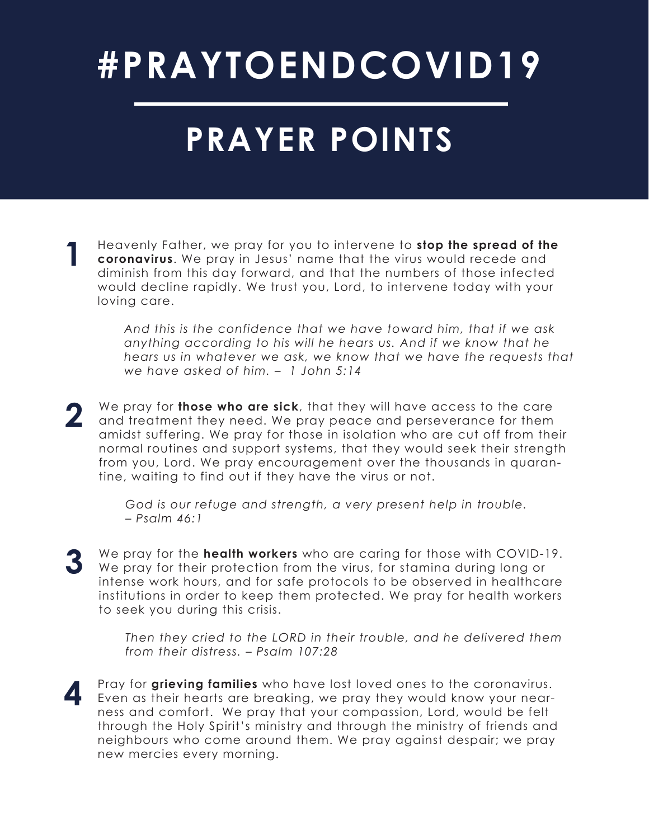# **#PRAYTOENDCOVID19**

### **PRAYER POINTS**

**1** Heavenly Father, we pray for you to intervene to **stop the spread of the coronavirus**. We pray in Jesus' name that the virus would recede and diminish from this day forward, and that the numbers of those infected would decline rapidly. We trust you, Lord, to intervene today with your loving care.

> *And this is the confidence that we have toward him, that if we ask anything according to his will he hears us. And if we know that he hears us in whatever we ask, we know that we have the requests that we have asked of him. – 1 John 5:14*

**2** We pray for **those who are sick**, that they will have access to the care and treatment they need. We pray peace and perseverance for them amidst suffering. We pray for those in isolation who are cut off from their normal routines and support systems, that they would seek their strength from you, Lord. We pray encouragement over the thousands in quarantine, waiting to find out if they have the virus or not.

> *God is our refuge and strength, a very present help in trouble. – Psalm 46:1*

**3** We pray for the **health workers** who are caring for those with COVID-19. We pray for their protection from the virus, for stamina during long or intense work hours, and for safe protocols to be observed in healthcare institutions in order to keep them protected. We pray for health workers to seek you during this crisis.

> *Then they cried to the LORD in their trouble, and he delivered them from their distress. – Psalm 107:28*

**4** Pray for **grieving families** who have lost loved ones to the coronavirus. Even as their hearts are breaking, we pray they would know your nearness and comfort. We pray that your compassion, Lord, would be felt through the Holy Spirit's ministry and through the ministry of friends and neighbours who come around them. We pray against despair; we pray new mercies every morning.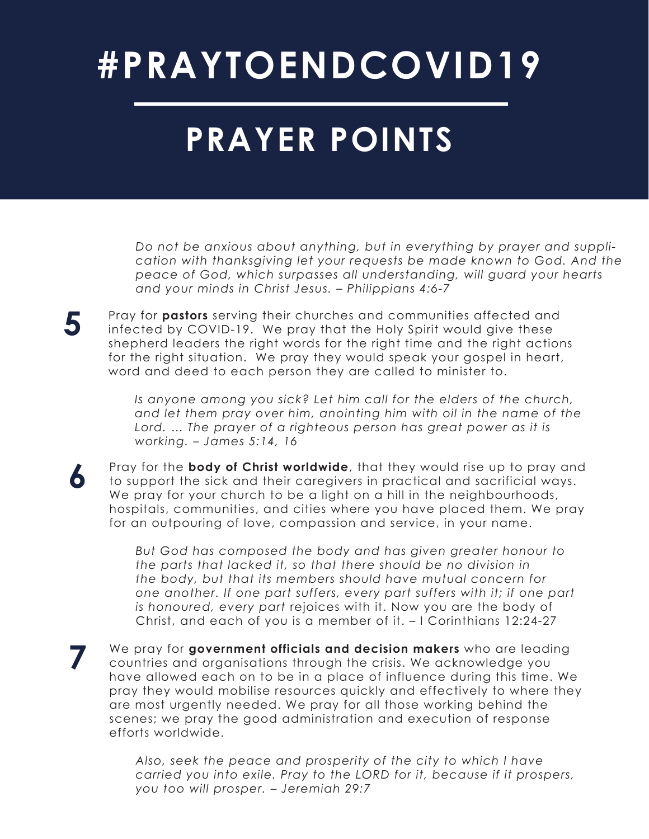## **#PRAYTOENDCOVID19**

### **PRAYER POINTS**

*Do not be anxious about anything, but in everything by prayer and supplication with thanksgiving let your requests be made known to God. And the peace of God, which surpasses all understanding, will guard your hearts and your minds in Christ Jesus. – Philippians 4:6-7*

**5** Pray for **pastors** serving their churches and communities affected and infected by COVID-19. We pray that the Holy Spirit would also these infected by COVID-19. We pray that the Holy Spirit would give these shepherd leaders the right words for the right time and the right actions for the right situation. We pray they would speak your gospel in heart, word and deed to each person they are called to minister to.

> *Is anyone among you sick? Let him call for the elders of the church, and let them pray over him, anointing him with oil in the name of the*  Lord. ... The prayer of a righteous person has great power as it is *working. – James 5:14, 16*

**6** Pray for the **body of Christ worldwide**, that they would rise up to pray and to support the sick and their caregivers in practical and sacrificial ways. We pray for your church to be a light on a hill in the neighbourhoods, hospitals, communities, and cities where you have placed them. We pray for an outpouring of love, compassion and service, in your name.

> *But God has composed the body and has given greater honour to the parts that lacked it, so that there should be no division in the body, but that its members should have mutual concern for one another. If one part suffers, every part suffers with it; if one part is honoured, every part* rejoices with it. Now you are the body of Christ, and each of you is a member of it. – I Corinthians 12:24-27

**7** We pray for **government officials and decision makers** who are leading countries and organisations through the crisis. We acknowledge you have allowed each on to be in a place of influence during this time. We pray they would mobilise resources quickly and effectively to where they are most urgently needed. We pray for all those working behind the scenes; we pray the good administration and execution of response efforts worldwide.

> *Also, seek the peace and prosperity of the city to which I have carried you into exile. Pray to the LORD for it, because if it prospers, you too will prosper. – Jeremiah 29:7*